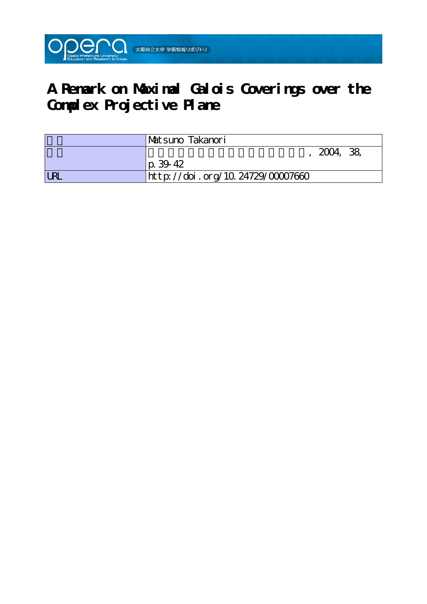

# **A Remark on Maximal Galois Coverings over the Complex Projective Plane**

|            | 'Matsuno Takanori                |
|------------|----------------------------------|
|            | 2004, 38,                        |
|            | p. 3942                          |
| <b>URL</b> | http://doi.org/10.24729/00007660 |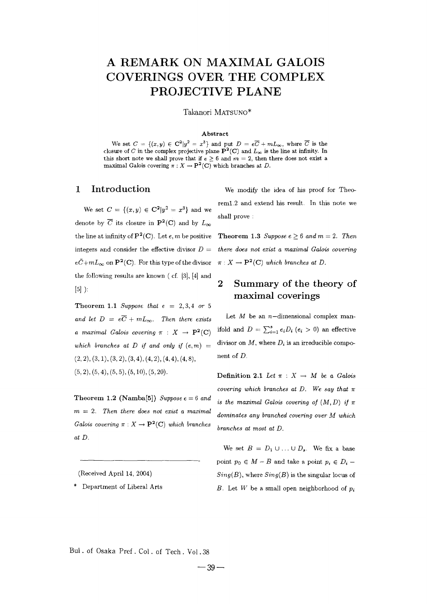# A REMARK ON MAXIMAL GALOIS **COVERINGS OVER THE COMPLEX PROJECTIVE PLANE**

Takanori MATSUNO\*

### A bstract

We set  $C = \{(x, y) \in \mathbb{C}^2 | y^2 = x^3 \}$  and put  $D = e\overline{C} + mL_{\infty}$ , where  $\overline{C}$  is the closure of C in the complex projective plane  $\mathbf{P}^2(C)$  and  $L_{\infty}$  is the line at infinity. In this short note we shall prove that if  $\epsilon \geq 6$  and  $m = 2$ , then there does not exist a maximal Galois covering  $\pi : X \to \mathbf{P}^2(\mathbf{C})$  which branches at D.

#### Introduction  $\mathbf{1}$

We set  $C = \{(x, y) \in \mathbb{C}^2 | y^2 = x^3 \}$  and we denote by  $\overline{C}$  its closure in  $\mathbf{P}^2(\mathbf{C})$  and by  $L_{\infty}$ the line at infinity of  $\mathbf{P}^2(\mathbf{C})$ . Let e, m be positive integers and consider the effective divisor  $D =$  $e\bar{C}+mL_{\infty}$  on  $\mathbf{P}^{2}(\mathbf{C})$ . For this type of the divisor the following results are known (cf. [3], [4] and  $[5]$ ):

Theorem 1.1 Suppose that  $e = 2, 3, 4$  or 5 and let  $D = e\overline{C} + mL_{\infty}$ . Then there exists a maximal Galois covering  $\pi$  :  $X \to \mathbf{P}^2(\mathbf{C})$ which branches at  $D$  if and only if  $(e, m)$  =  $(2, 2), (3, 1), (3, 2), (3, 4), (4, 2), (4, 4), (4, 8),$  $(5, 2), (5, 4), (5, 5), (5, 10), (5, 20).$ 

Theorem 1.2 (Namba[5]) Suppose  $e = 6$  and  $m = 2$ . Then there does not exist a maximal Galois covering  $\pi : X \to \mathbf{P}^2(\mathbf{C})$  which branches at D.

(Received April 14, 2004)

\* Department of Liberal Arts

We modify the idea of his proof for Theorem1.2 and extend his result. In this note we shall prove:

**Theorem 1.3** Suppose  $e \ge 6$  and  $m = 2$ . Then there does not exist a maximal Galois covering  $\pi: X \to \mathbf{P}^2(\mathbf{C})$  which branches at D.

### $\overline{2}$ Summary of the theory of maximal coverings

Let  $M$  be an *n*-dimensional complex manifold and  $D = \sum_{i=1}^{s} e_i D_i$  ( $e_i > 0$ ) an effective divisor on M, where  $D_i$  is an irreducible component of  $D$ .

Definition 2.1 Let  $\pi$  :  $X \rightarrow M$  be a Galois covering which branches at D. We say that  $\pi$ is the maximal Galois covering of  $(M, D)$  if  $\pi$ dominates any branched covering over M which branches at most at D.

We set  $B = D_1 \cup ... \cup D_s$ . We fix a base point  $p_0 \in M - B$  and take a point  $p_i \in D_i$  - $Sing(B)$ , where  $Sing(B)$  is the singular locus of B. Let W be a small open neighborhood of  $p_i$ 

Bul. of Osaka Pref. Col. of Tech. Vol.38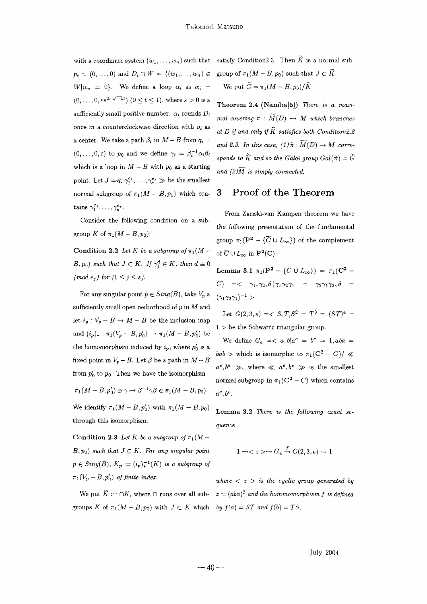$p_i = (0, ..., 0)$  and  $D_i \cap W = \{(w_1, ..., w_n) \in$  $W|w_n = 0$ . We define a loop  $\alpha_i$  as  $\alpha_i =$  $(0,\ldots,0,\varepsilon e^{2\pi\sqrt{-1}t})$   $(0\leq t\leq 1)$ , where  $\varepsilon>0$  is a sufficiently small positive number.  $\alpha_i$  rounds  $D_i$ once in a counterclockwise direction with  $p_i$  as a center. We take a path  $\beta_i$  in  $M-B$  from  $q_i =$  $(0,\ldots,0,\varepsilon)$  to  $p_0$  and we define  $\gamma_i = \beta_i^{-1} \alpha_i \beta_i$ which is a loop in  $M - B$  with  $p_0$  as a starting point. Let  $J = \ll \gamma_1^{e_1}, \ldots, \gamma_s^{e_s} \gg$  be the smallest normal subgroup of  $\pi_1(M - B, p_0)$  which contains  $\gamma_1^{e_1}, \ldots, \gamma_s^{e_s}$ .

Consider the following condition on a subgroup K of  $\pi_1(M-B,p_0)$ :

Condition 2.2 Let K be a subgroup of  $\pi_1(M (B, p_0)$  such that  $J \subset K$ . If  $\gamma_i^d \in K$ , then  $d \equiv 0$ (mod e<sub>j</sub>) for  $(1 \leq j \leq s)$ .

For any singular point  $p \in Sing(B)$ , take  $V_p$  a sufficiently small open neiborhood of  $p$  in  $M$  and let  $i_p: V_p - B \to M - B$  be the inclusion map and  $(i_p)_*: \pi_1(V_p - B, p'_0) \to \pi_1(M - B, p'_0)$  be the homomorphism induced by  $i_p$ , where  $p'_0$  is a fixed point in  $V_p - B$ . Let  $\beta$  be a path in  $M - B$ from  $p'_0$  to  $p_0$ . Then we have the isomorphism  $\pi_1(M-B,p_0') \ni \gamma \mapsto \beta^{-1} \gamma \beta \in \pi_1(M-B,p_0).$ 

We identify  $\pi_1(M - B, p'_0)$  with  $\pi_1(M - B, p_0)$ through this isomorphism

Condition 2.3 Let K be a subgroup of  $\pi_1(M B, p_0$  such that  $J \subset K$ . For any singular point  $p \in Sing(B), K_p := (i_p)_*^{-1}(K)$  is a subgroup of  $\pi_1(V_p - B, p'_0)$  of finite index.

groups K of  $\pi_1(M - B, p_0)$  with  $J \subset K$  which by  $f(a) = ST$  and  $f(b) = TS$ .

with a coordinate system  $(w_1, \ldots, w_n)$  such that satisfy Condition 2.3. Then  $\tilde{K}$  is a normal subgroup of  $\pi_1(M - B, p_0)$  such that  $J \subset \widetilde{K}$ . We put  $\widetilde{G} = \pi_1(M - B, p_0)/\widetilde{K}$ .

> Theorem 2.4 (Namba[5]) There is a maximal covering  $\tilde{\pi} : \widetilde{M}(D) \to M$  which branches at D if and only if  $\widetilde{K}$  satisfies both Condition2.2 and 2.3. In this case, (1)  $\tilde{\pi}$  :  $\widetilde{M}(D) \to M$  corresponds to  $\widetilde{K}$  and so the Galoi group  $Gal(\widetilde{\pi}) = \widetilde{G}$ and  $(2)\widetilde{M}$  is simply connected.

### Proof of the Theorem 3

From Zariski-van Kampen theorem we have the following presentation of the fundamental group  $\pi_1(\mathbf{P}^2 - {\overline{C} \cup L_{\infty}})$  of the complement of  $\overline{C} \cup L_{\infty}$  in  $\mathbf{P}^2(C)$ 

Lemma 3.1  $\pi_1(\mathbf{P}^2 - {\bar{C} \cup L_{\infty}}) = \pi_1(\mathbf{C}^2 -$ C)  $=<\gamma_1, \gamma_2, \delta | \gamma_1 \gamma_2 \gamma_1 = \gamma_2 \gamma_1 \gamma_2, \delta =$  $(\gamma_1\gamma_2\gamma_1)^{-1}$ 

Let  $G(2,3,e) = \langle S,T|S^2 = T^3 = (ST)^e =$  $1 >$  be the Schwartz triangular group

We define  $G_e = \langle a, b | a^e = b^e = 1, aba =$  $bab >$  which is isomorphic to  $\pi_1(C^2 - C)/ \ll$  $a^e, b^e \gg$ , where  $\ll a^e, b^e \gg$  is the smallest normal subgroup in  $\pi_1(C^2 - C)$  which contains  $a^e, b^e$ .

Lemma 3.2 There is the following exact sequence

$$
1 \to
$$

where  $\langle z \rangle$  is the cyclic group generated by We put  $\widetilde{K} := \bigcap K$ , where  $\bigcap$  runs over all sub-  $z = (aba)^2$  and the hommomorphism f is defined

July 2004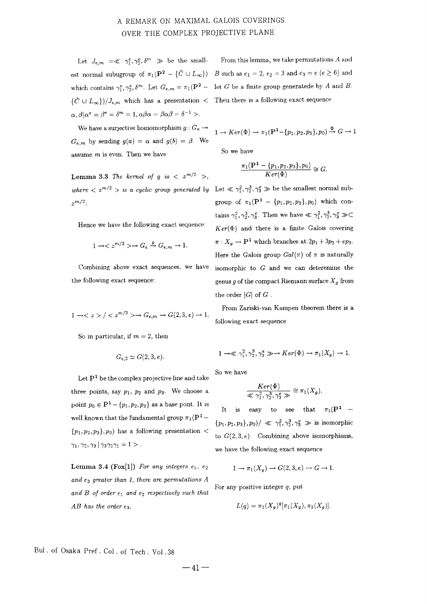## A REMARK ON MAXIMAL GALOIS COVERINGS OVER THE COMPLEX PROJECTIVE PLANE

Let  $J_{e,m} = \ll \gamma_1^e, \gamma_2^e, \delta^m \gg$  be the smallwhich contains  $\gamma_1^e, \gamma_2^e, \delta^m$ . Let  $G_{e,m} = \pi_1(\mathbf{P}^2 - \text{let } G \text{ be a finite group generated by } A \text{ and } B$ .  $\{\bar{C} \cup L_{\infty}\}\slash /J_{\epsilon,m}$  which has a presentation  $\langle$  Then there is a following exact sequence  $\alpha, \beta | \alpha^e = \beta^e = \delta^m = 1, \alpha \beta \alpha = \beta \alpha \beta = \delta^{-1} > 0$ 

We have a surjective homomorphism  $g: G_e \rightarrow$  $G_{e,m}$  by sending  $g(a) = \alpha$  and  $g(b) = \beta$ . We assume  $m$  is even. Then we have

**Lemma 3.3** The kernel of g is  $\langle z^{m/2} \rangle$ ,  $\gamma$ m/2

Hence we have the following exact sequence:

$$
1 \to \langle z^{m/2} \rangle \to G_e \stackrel{g}{\to} G_{e,m} \to 1.
$$

Combining above exact sequences, we have the following exact sequence:

$$
1 \to \langle z \rangle / \langle z^{m/2} \rangle \to G_{e,m} \to G(2,3,e) \to 1.
$$

So in particular, if  $m = 2$ , then

$$
G_{e,2} \simeq G(2,3,e).
$$

Let  $P<sup>1</sup>$  be the complex projective line and take three points, say  $p_1$ ,  $p_2$  and  $p_3$ . We choose a point  $p_0 \in \mathbf{P}^1 - \{p_1, p_2, p_3\}$  as a base pont. It is well known that the fundamental group  $\pi_1(\mathbf{P}^1 \{p_1, p_2, p_3\}, p_0$  has a following presentation <  $\gamma_1, \gamma_2, \gamma_3 | \gamma_3 \gamma_2 \gamma_1 = 1$ .

Lemma 3.4 (Fox[1]) For any integers  $e_1, e_2$ and  $e_3$  greater than 1, there are permutations  $A$ and B of order  $e_1$  and  $e_2$  respectively such that  $AB$  has the order  $e_3$ .

 $\mathbb F$  From this lemma, we take permutations  $A$  and est normal subugroup of  $\pi_1(\mathbf{P}^2 - {\{\bar{C} \cup L_{\infty}\}})$  B such as  $e_1 = 2$ ,  $e_2 = 3$  and  $e_3 = e$  ( $e \ge 6$ ) and

$$
1 \to Ker(\Phi) \to \pi_1(\mathbf{P}^1 - \{p_1, p_2, p_3\}, p_0) \xrightarrow{\Phi} G \to 1
$$

So we have

$$
\frac{\pi_1(\mathbf{P}^1 - \{p_1, p_2, p_3\}, p_0)}{Ker(\Phi)} \cong G.
$$

where  $\langle z^{m/2} \rangle$  is a cyclic group generated by Let  $\langle \gamma_1^2, \gamma_2^3, \gamma_3^e \rangle$  be the smallest normal subgroup of  $\pi_1(\mathbf{P}^1 - \{p_1, p_2, p_3\}, p_0)$  which contains  $\gamma_1^2, \gamma_2^3, \gamma_3^e$ . Then we have  $\ll \gamma_1^2, \gamma_2^3, \gamma_3^e \gg \subset$  $Ker(\Phi)$  and there is a finite Galois covering  $\pi: X_g \to \mathbf{P}^1$  which branches at  $2p_1 + 3p_2 + ep_3$ . Here the Galois group  $Gal(\pi)$  of  $\pi$  is naturally isomorphic to  $G$  and we can deteremine the genus g of the compact Riemann surface  $X_q$  from the order  $|G|$  of  $G$ .

> From Zariski-van Kampen theorem there is a following exact sequence

$$
1 \to \ll \gamma_1^2, \gamma_2^3, \gamma_3^e \gg \to Ker(\Phi) \to \pi_1(X_g) \to 1.
$$

So we have

$$
\frac{Ker(\Phi)}{\ll \gamma^2_1,\gamma^3_2,\gamma^{\epsilon}_3 \gg} \cong \pi_1(X_g).
$$

It is easy to see that  $\pi_1(\mathbf{P}^1$  –  $\{p_1, p_2, p_3\}, p_0)/\ll \gamma_1^2, \gamma_2^3, \gamma_3^e \gg \text{ is isomorphic}$ to  $G(2,3,e)$ . Combining above isomorphisms, we have the following exact sequence

$$
1 \to \pi_1(X_g) \to G(2, 3, e) \to G \to 1.
$$

For any positive integer  $q$ , put

$$
L(q) = \pi_1(X_g)^q [\pi_1(X_g), \pi_1(X_g)].
$$

Bul. of Osaka Pref. Col. of Tech. Vol.38

 $-41-$